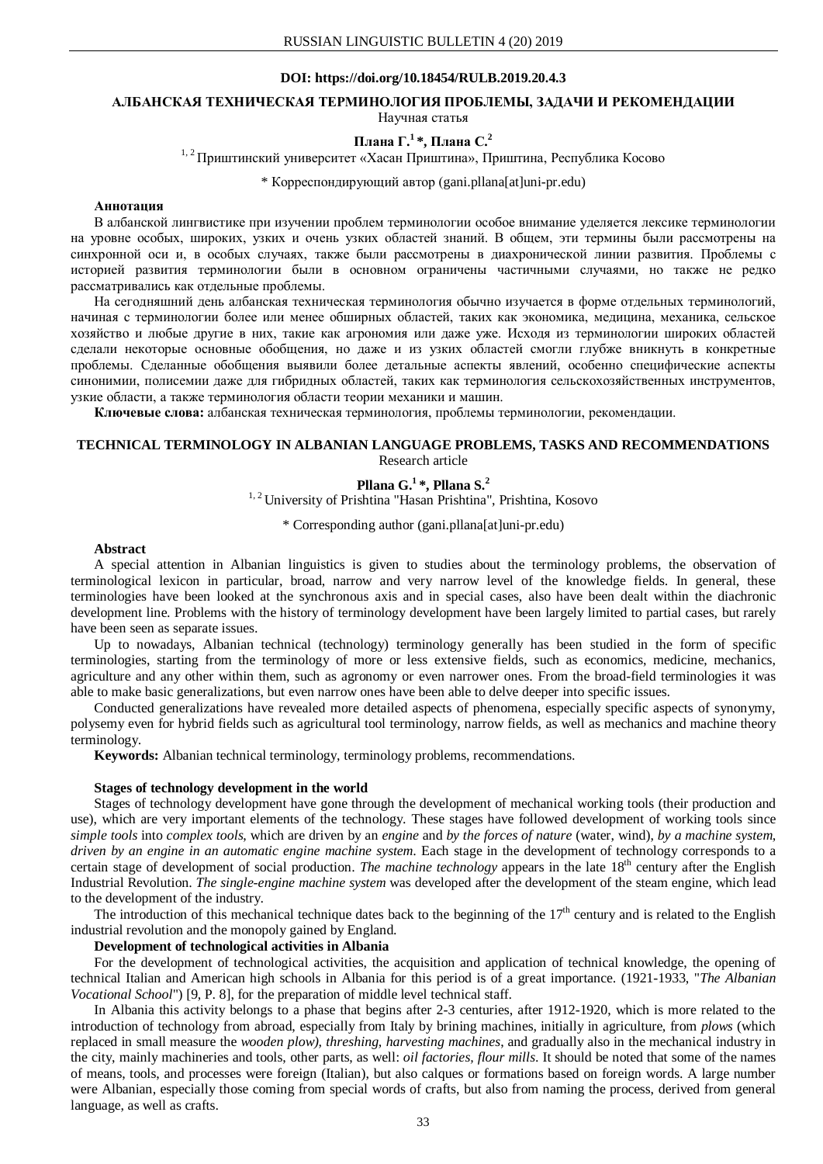### **DOI: https://doi.org/10.18454/RULB.2019.20.4.3**

### **АЛБАНСКАЯ ТЕХНИЧЕСКАЯ ТЕРМИНОЛОГИЯ ПРОБЛЕМЫ, ЗАДАЧИ И РЕКОМЕНДАЦИИ** Научная статья

# **Плана Г. <sup>1</sup> \*, Плана С. 2**

<sup>1, 2</sup> Приштинский университет «Хасан Приштина», Приштина, Республика Косово

\* Корреспондирующий автор (gani.pllana[at]uni-pr.edu)

## **Аннотация**

В албанской лингвистике при изучении проблем терминологии особое внимание уделяется лексике терминологии на уровне особых, широких, узких и очень узких областей знаний. В общем, эти термины были рассмотрены на синхронной оси и, в особых случаях, также были рассмотрены в диахронической линии развития. Проблемы с историей развития терминологии были в основном ограничены частичными случаями, но также не редко рассматривались как отдельные проблемы.

На сегодняшний день албанская техническая терминология обычно изучается в форме отдельных терминологий, начиная с терминологии более или менее обширных областей, таких как экономика, медицина, механика, сельское хозяйство и любые другие в них, такие как агрономия или даже уже. Исходя из терминологии широких областей сделали некоторые основные обобщения, но даже и из узких областей смогли глубже вникнуть в конкретные проблемы. Сделанные обобщения выявили более детальные аспекты явлений, особенно специфические аспекты синонимии, полисемии даже для гибридных областей, таких как терминология сельскохозяйственных инструментов, узкие области, а также терминология области теории механики и машин.

**Ключевые слова:** албанская техническая терминология, проблемы терминологии, рекомендации.

### **TECHNICAL TERMINOLOGY IN ALBANIAN LANGUAGE PROBLEMS, TASKS AND RECOMMENDATIONS** Research article

# **Pllana G. 1 \*, Pllana S. 2**

<sup>1, 2</sup> University of Prishtina "Hasan Prishtina", Prishtina, Kosovo

\* Corresponding author (gani.pllana[at]uni-pr.edu)

#### **Abstract**

A special attention in Albanian linguistics is given to studies about the terminology problems, the observation of terminological lexicon in particular, broad, narrow and very narrow level of the knowledge fields. In general, these terminologies have been looked at the synchronous axis and in special cases, also have been dealt within the diachronic development line. Problems with the history of terminology development have been largely limited to partial cases, but rarely have been seen as separate issues.

Up to nowadays, Albanian technical (technology) terminology generally has been studied in the form of specific terminologies, starting from the terminology of more or less extensive fields, such as economics, medicine, mechanics, agriculture and any other within them, such as agronomy or even narrower ones. From the broad-field terminologies it was able to make basic generalizations, but even narrow ones have been able to delve deeper into specific issues.

Conducted generalizations have revealed more detailed aspects of phenomena, especially specific aspects of synonymy, polysemy even for hybrid fields such as agricultural tool terminology, narrow fields, as well as mechanics and machine theory terminology.

**Keywords:** Albanian technical terminology, terminology problems, recommendations.

#### **Stages of technology development in the world**

Stages of technology development have gone through the development of mechanical working tools (their production and use), which are very important elements of the technology. These stages have followed development of working tools since *simple tools* into *complex tools*, which are driven by an *engine* and *by the forces of nature* (water, wind), *by a machine system*, *driven by an engine in an automatic engine machine system*. Each stage in the development of technology corresponds to a certain stage of development of social production. *The machine technology* appears in the late 18<sup>th</sup> century after the English Industrial Revolution. *The single-engine machine system* was developed after the development of the steam engine, which lead to the development of the industry.

The introduction of this mechanical technique dates back to the beginning of the  $17<sup>th</sup>$  century and is related to the English industrial revolution and the monopoly gained by England.

### **Development of technological activities in Albania**

For the development of technological activities, the acquisition and application of technical knowledge, the opening of technical Italian and American high schools in Albania for this period is of a great importance. (1921-1933, "*The Albanian Vocational School*") [9, P. 8], for the preparation of middle level technical staff.

In Albania this activity belongs to a phase that begins after 2-3 centuries, after 1912-1920, which is more related to the introduction of technology from abroad, especially from Italy by brining machines, initially in agriculture, from *plows* (which replaced in small measure the *wooden plow), threshing, harvesting machines*, and gradually also in the mechanical industry in the city, mainly machineries and tools, other parts, as well: *oil factories, flour mills*. It should be noted that some of the names of means, tools, and processes were foreign (Italian), but also calques or formations based on foreign words. A large number were Albanian, especially those coming from special words of crafts, but also from naming the process, derived from general language, as well as crafts.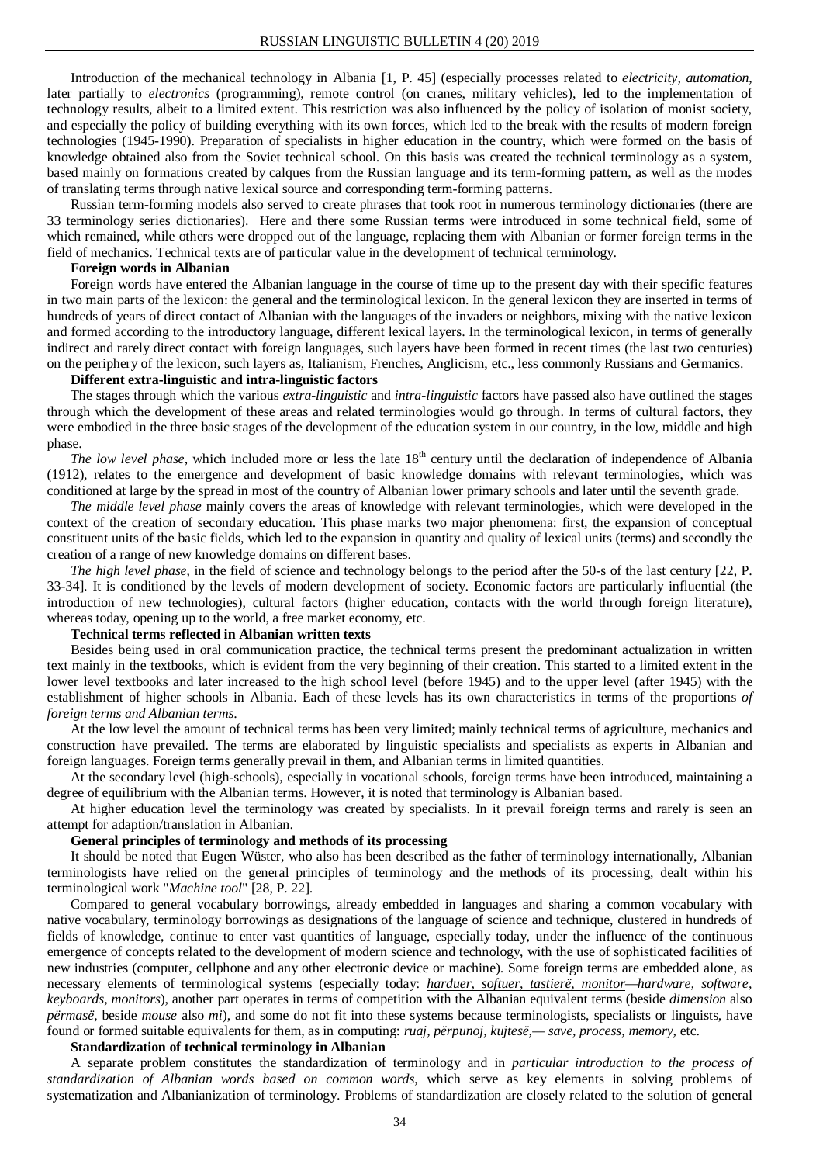Introduction of the mechanical technology in Albania [1, P. 45] (especially processes related to *electricity, automation*, later partially to *electronics* (programming), remote control (on cranes, military vehicles), led to the implementation of technology results, albeit to a limited extent. This restriction was also influenced by the policy of isolation of monist society, and especially the policy of building everything with its own forces, which led to the break with the results of modern foreign technologies (1945-1990). Preparation of specialists in higher education in the country, which were formed on the basis of knowledge obtained also from the Soviet technical school. On this basis was created the technical terminology as a system, based mainly on formations created by calques from the Russian language and its term-forming pattern, as well as the modes of translating terms through native lexical source and corresponding term-forming patterns.

Russian term-forming models also served to create phrases that took root in numerous terminology dictionaries (there are 33 terminology series dictionaries). Here and there some Russian terms were introduced in some technical field, some of which remained, while others were dropped out of the language, replacing them with Albanian or former foreign terms in the field of mechanics. Technical texts are of particular value in the development of technical terminology.

### **Foreign words in Albanian**

Foreign words have entered the Albanian language in the course of time up to the present day with their specific features in two main parts of the lexicon: the general and the terminological lexicon. In the general lexicon they are inserted in terms of hundreds of years of direct contact of Albanian with the languages of the invaders or neighbors, mixing with the native lexicon and formed according to the introductory language, different lexical layers. In the terminological lexicon, in terms of generally indirect and rarely direct contact with foreign languages, such layers have been formed in recent times (the last two centuries) on the periphery of the lexicon, such layers as, Italianism, Frenches, Anglicism, etc., less commonly Russians and Germanics.

#### **Different extra-linguistic and intra-linguistic factors**

The stages through which the various *extra-linguistic* and *intra-linguistic* factors have passed also have outlined the stages through which the development of these areas and related terminologies would go through. In terms of cultural factors, they were embodied in the three basic stages of the development of the education system in our country, in the low, middle and high phase.

*The low level phase*, which included more or less the late 18<sup>th</sup> century until the declaration of independence of Albania (1912), relates to the emergence and development of basic knowledge domains with relevant terminologies, which was conditioned at large by the spread in most of the country of Albanian lower primary schools and later until the seventh grade.

*The middle level phase* mainly covers the areas of knowledge with relevant terminologies, which were developed in the context of the creation of secondary education. This phase marks two major phenomena: first, the expansion of conceptual constituent units of the basic fields, which led to the expansion in quantity and quality of lexical units (terms) and secondly the creation of a range of new knowledge domains on different bases.

*The high level phase*, in the field of science and technology belongs to the period after the 50-s of the last century [22, P. 33-34]. It is conditioned by the levels of modern development of society. Economic factors are particularly influential (the introduction of new technologies), cultural factors (higher education, contacts with the world through foreign literature), whereas today, opening up to the world, a free market economy, etc.

#### **Technical terms reflected in Albanian written texts**

Besides being used in oral communication practice, the technical terms present the predominant actualization in written text mainly in the textbooks, which is evident from the very beginning of their creation. This started to a limited extent in the lower level textbooks and later increased to the high school level (before 1945) and to the upper level (after 1945) with the establishment of higher schools in Albania. Each of these levels has its own characteristics in terms of the proportions *of foreign terms and Albanian terms*.

At the low level the amount of technical terms has been very limited; mainly technical terms of agriculture, mechanics and construction have prevailed. The terms are elaborated by linguistic specialists and specialists as experts in Albanian and foreign languages. Foreign terms generally prevail in them, and Albanian terms in limited quantities.

At the secondary level (high-schools), especially in vocational schools, foreign terms have been introduced, maintaining a degree of equilibrium with the Albanian terms. However, it is noted that terminology is Albanian based.

At higher education level the terminology was created by specialists. In it prevail foreign terms and rarely is seen an attempt for adaption/translation in Albanian.

### **General principles of terminology and methods of its processing**

It should be noted that Eugen Wüster, who also has been described as the father of terminology internationally, Albanian terminologists have relied on the general principles of terminology and the methods of its processing, dealt within his terminological work "*Machine tool*" [28, P. 22].

Compared to general vocabulary borrowings, already embedded in languages and sharing a common vocabulary with native vocabulary, terminology borrowings as designations of the language of science and technique, clustered in hundreds of fields of knowledge, continue to enter vast quantities of language, especially today, under the influence of the continuous emergence of concepts related to the development of modern science and technology, with the use of sophisticated facilities of new industries (computer, cellphone and any other electronic device or machine). Some foreign terms are embedded alone, as necessary elements of terminological systems (especially today: *harduer, softuer, tastierë, monitor—hardware, software, keyboards, monitors*), another part operates in terms of competition with the Albanian equivalent terms (beside *dimension* also *përmasë*, beside *mouse* also *mi*), and some do not fit into these systems because terminologists, specialists or linguists, have found or formed suitable equivalents for them, as in computing: *ruaj, përpunoj, kujtesë,— save, process, memory,* etc.

### **Standardization of technical terminology in Albanian**

A separate problem constitutes the standardization of terminology and in *particular introduction to the process of standardization of Albanian words based on common words*, which serve as key elements in solving problems of systematization and Albanianization of terminology. Problems of standardization are closely related to the solution of general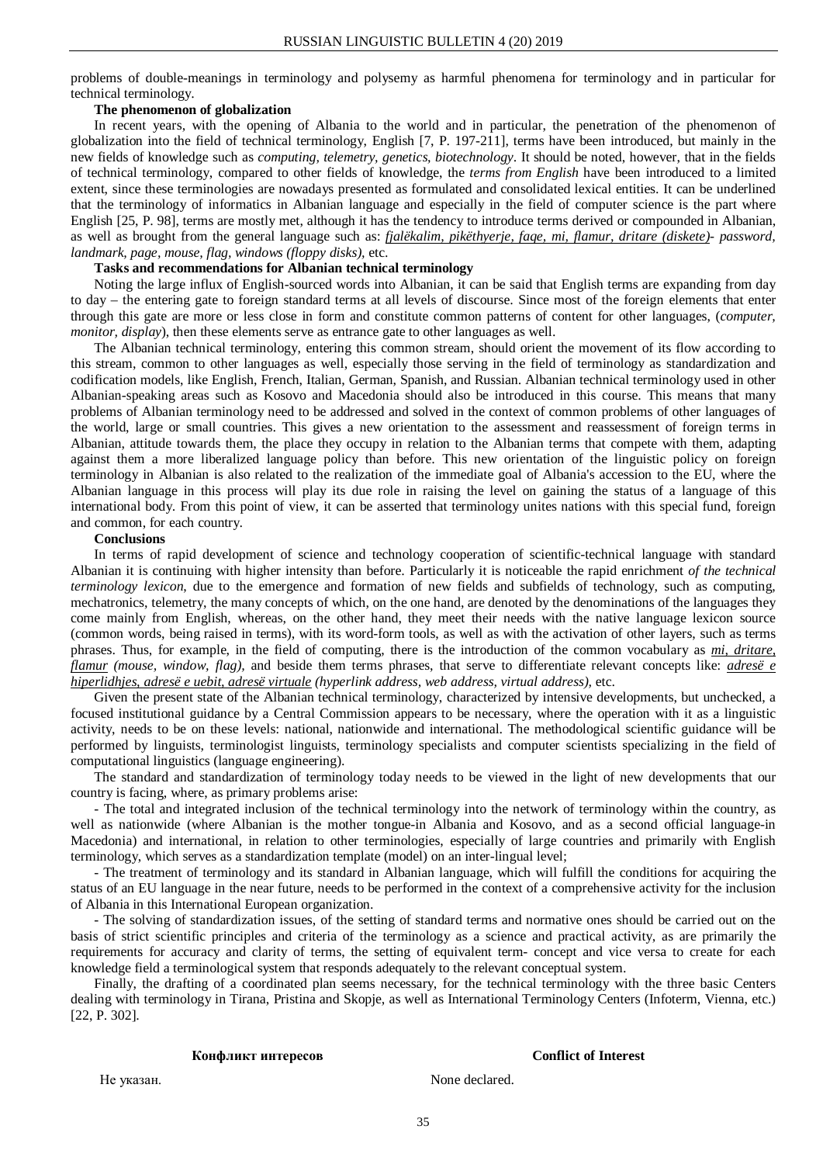problems of double-meanings in terminology and polysemy as harmful phenomena for terminology and in particular for technical terminology.

### **The phenomenon of globalization**

In recent years, with the opening of Albania to the world and in particular, the penetration of the phenomenon of globalization into the field of technical terminology, English [7, P. 197-211], terms have been introduced, but mainly in the new fields of knowledge such as *computing, telemetry, genetics, biotechnology*. It should be noted, however, that in the fields of technical terminology, compared to other fields of knowledge, the *terms from English* have been introduced to a limited extent, since these terminologies are nowadays presented as formulated and consolidated lexical entities. It can be underlined that the terminology of informatics in Albanian language and especially in the field of computer science is the part where English [25, P. 98], terms are mostly met, although it has the tendency to introduce terms derived or compounded in Albanian, as well as brought from the general language such as: *fjalëkalim, pikëthyerje, faqe, mi, flamur, dritare (diskete)- password, landmark, page, mouse, flag, windows (floppy disks),* etc.

## **Tasks and recommendations for Albanian technical terminology**

Noting the large influx of English-sourced words into Albanian, it can be said that English terms are expanding from day to day – the entering gate to foreign standard terms at all levels of discourse. Since most of the foreign elements that enter through this gate are more or less close in form and constitute common patterns of content for other languages, (*computer, monitor, display*), then these elements serve as entrance gate to other languages as well.

The Albanian technical terminology, entering this common stream, should orient the movement of its flow according to this stream, common to other languages as well, especially those serving in the field of terminology as standardization and codification models, like English, French, Italian, German, Spanish, and Russian. Albanian technical terminology used in other Albanian-speaking areas such as Kosovo and Macedonia should also be introduced in this course. This means that many problems of Albanian terminology need to be addressed and solved in the context of common problems of other languages of the world, large or small countries. This gives a new orientation to the assessment and reassessment of foreign terms in Albanian, attitude towards them, the place they occupy in relation to the Albanian terms that compete with them, adapting against them a more liberalized language policy than before. This new orientation of the linguistic policy on foreign terminology in Albanian is also related to the realization of the immediate goal of Albania's accession to the EU, where the Albanian language in this process will play its due role in raising the level on gaining the status of a language of this international body. From this point of view, it can be asserted that terminology unites nations with this special fund, foreign and common, for each country.

#### **Conclusions**

In terms of rapid development of science and technology cooperation of scientific-technical language with standard Albanian it is continuing with higher intensity than before. Particularly it is noticeable the rapid enrichment *of the technical terminology lexicon*, due to the emergence and formation of new fields and subfields of technology, such as computing, mechatronics, telemetry, the many concepts of which, on the one hand, are denoted by the denominations of the languages they come mainly from English, whereas, on the other hand, they meet their needs with the native language lexicon source (common words, being raised in terms), with its word-form tools, as well as with the activation of other layers, such as terms phrases. Thus, for example, in the field of computing, there is the introduction of the common vocabulary as *mi, dritare, flamur (mouse, window, flag),* and beside them terms phrases, that serve to differentiate relevant concepts like: *adresë e hiperlidhjes, adresë e uebit, adresë virtuale (hyperlink address, web address, virtual address),* etc.

Given the present state of the Albanian technical terminology, characterized by intensive developments, but unchecked, a focused institutional guidance by a Central Commission appears to be necessary, where the operation with it as a linguistic activity, needs to be on these levels: national, nationwide and international. The methodological scientific guidance will be performed by linguists, terminologist linguists, terminology specialists and computer scientists specializing in the field of computational linguistics (language engineering).

The standard and standardization of terminology today needs to be viewed in the light of new developments that our country is facing, where, as primary problems arise:

- The total and integrated inclusion of the technical terminology into the network of terminology within the country, as well as nationwide (where Albanian is the mother tongue-in Albania and Kosovo, and as a second official language-in Macedonia) and international, in relation to other terminologies, especially of large countries and primarily with English terminology, which serves as a standardization template (model) on an inter-lingual level;

- The treatment of terminology and its standard in Albanian language, which will fulfill the conditions for acquiring the status of an EU language in the near future, needs to be performed in the context of a comprehensive activity for the inclusion of Albania in this International European organization.

- The solving of standardization issues, of the setting of standard terms and normative ones should be carried out on the basis of strict scientific principles and criteria of the terminology as a science and practical activity, as are primarily the requirements for accuracy and clarity of terms, the setting of equivalent term- concept and vice versa to create for each knowledge field a terminological system that responds adequately to the relevant conceptual system.

Finally, the drafting of a coordinated plan seems necessary, for the technical terminology with the three basic Centers dealing with terminology in Tirana, Pristina and Skopje, as well as International Terminology Centers (Infoterm, Vienna, etc.) [22, P. 302].

#### **Конфликт интересов**

#### **Conflict of Interest**

Не указан.

None declared.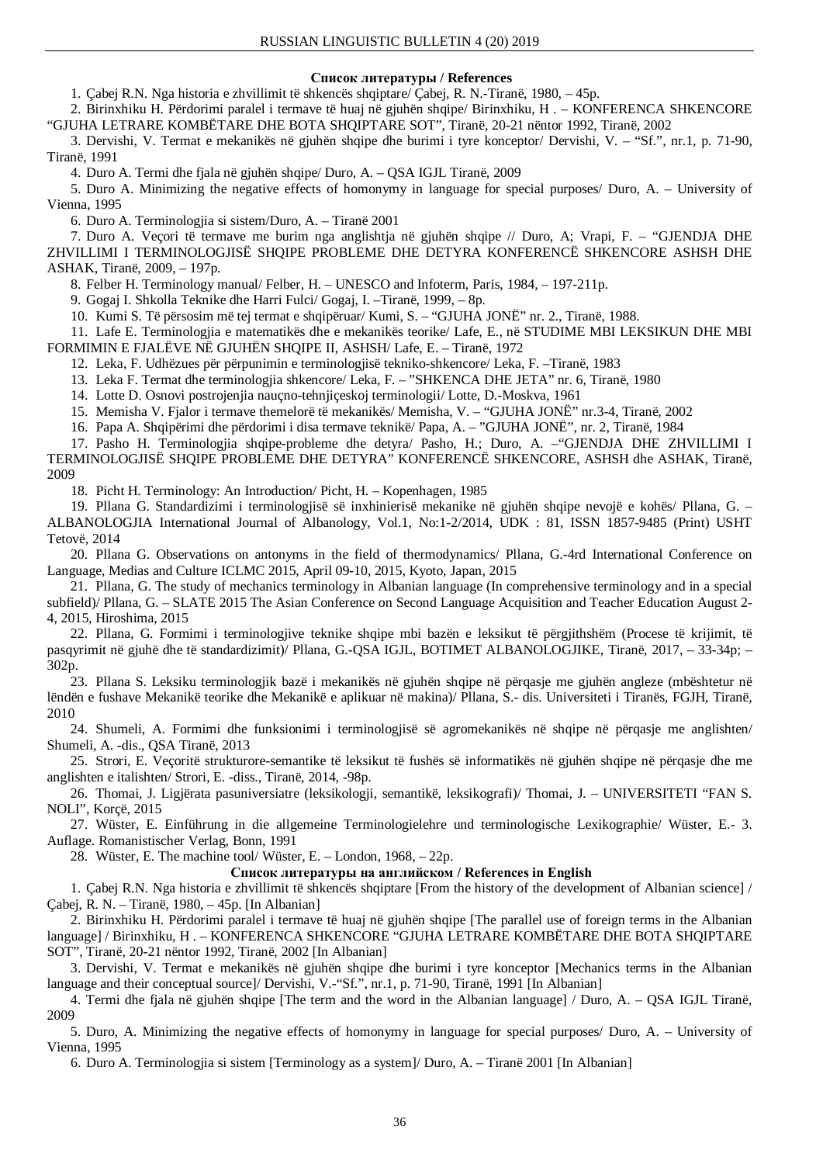# **Список литературы / References**

1. Çabej R.N. Nga historia e zhvillimit të shkencës shqiptare/ Çabej, R. N.-Tiranë, 1980, – 45p.

2. Birinxhiku H. Përdorimi paralel i termave të huaj në gjuhën shqipe/ Birinxhiku, H . – KONFERENCA SHKENCORE "GJUHA LETRARE KOMBËTARE DHE BOTA SHQIPTARE SOT", Tiranë, 20-21 nëntor 1992, Tiranë, 2002

3. Dervishi, V. Termat e mekanikës në gjuhën shqipe dhe burimi i tyre konceptor/ Dervishi, V. – "Sf.", nr.1, p. 71-90, Tiranë, 1991

4. Duro A. Termi dhe fjala në gjuhën shqipe/ Duro, A. – QSA IGJL Tiranë, 2009

5. Duro A. Minimizing the negative effects of homonymy in language for special purposes/ Duro, A. – University of Vienna, 1995

6. Duro A. Terminologjia si sistem/Duro, A. – Tiranë 2001

7. Duro A. Veçori të termave me burim nga anglishtja në gjuhën shqipe // Duro, A; Vrapi, F. – "GJENDJA DHE ZHVILLIMI I TERMINOLOGJISË SHQIPE PROBLEME DHE DETYRA KONFERENCË SHKENCORE ASHSH DHE ASHAK, Tiranë, 2009, – 197p.

8. Felber H. Terminology manual/ Felber, H. – UNESCO and Infoterm, Paris, 1984, – 197-211p.

9. Gogaj I. Shkolla Teknike dhe Harri Fulci/ Gogaj, I. –Tiranë, 1999, – 8p.

10. Kumi S. Të përsosim më tej termat e shqipëruar/ Kumi, S. – "GJUHA JONË" nr. 2., Tiranë, 1988.

11. Lafe E. Terminologjia e matematikës dhe e mekanikës teorike/ Lafe, E., në STUDIME MBI LEKSIKUN DHE MBI FORMIMIN E FJALËVE NË GJUHËN SHQIPE II, ASHSH/ Lafe, E. – Tiranë, 1972

12. Leka, F. Udhëzues për përpunimin e terminologjisë tekniko-shkencore/ Leka, F. –Tiranë, 1983

13. Leka F. Termat dhe terminologjia shkencore/ Leka, F. – "SHKENCA DHE JETA" nr. 6, Tiranë, 1980

14. Lotte D. Osnovi postrojenjia nauçno-tehnjiçeskoj terminologii/ Lotte, D.-Moskva, 1961

15. Memisha V. Fjalor i termave themelorë të mekanikës/ Memisha, V. – "GJUHA JONË" nr.3-4, Tiranë, 2002

16. Papa A. Shqipërimi dhe përdorimi i disa termave teknikë/ Papa, A. – "GJUHA JONË", nr. 2, Tiranë, 1984

17. Pasho H. Terminologjia shqipe-probleme dhe detyra/ Pasho, H.; Duro, A. –"GJENDJA DHE ZHVILLIMI I TERMINOLOGJISË SHQIPE PROBLEME DHE DETYRA" KONFERENCË SHKENCORE, ASHSH dhe ASHAK, Tiranë, 2009

18. Picht H. Terminology: An Introduction/ Picht, H. – Kopenhagen, 1985

19. Pllana G. Standardizimi i terminologjisë së inxhinierisë mekanike në gjuhën shqipe nevojë e kohës/ Pllana, G. – ALBANOLOGJIA International Journal of Albanology, Vol.1, No:1-2/2014, UDK : 81, ISSN 1857-9485 (Print) USHT Tetovë, 2014

20. Pllana G. Observations on antonyms in the field of thermodynamics/ Pllana, G.-4rd International Conference on Language, Medias and Culture ICLMC 2015, April 09-10, 2015, Kyoto, Japan, 2015

21. Pllana, G. The study of mechanics terminology in Albanian language (In comprehensive terminology and in a special subfield)/ Pllana, G. – SLATE 2015 The Asian Conference on Second Language Acquisition and Teacher Education August 2-4, 2015, Hiroshima, 2015

22. Pllana, G. Formimi i terminologjive teknike shqipe mbi bazën e leksikut të përgjithshëm (Procese të krijimit, të pasqyrimit në gjuhë dhe të standardizimit)/ Pllana, G.-QSA IGJL, BOTIMET ALBANOLOGJIKE, Tiranë, 2017, – 33-34p; – 302p.

23. Pllana S. Leksiku terminologjik bazë i mekanikës në gjuhën shqipe në përqasje me gjuhën angleze (mbështetur në lëndën e fushave Mekanikë teorike dhe Mekanikë e aplikuar në makina)/ Pllana, S.- dis. Universiteti i Tiranës, FGJH, Tiranë, 2010

24. Shumeli, A. Formimi dhe funksionimi i terminologjisë së agromekanikës në shqipe në përqasje me anglishten/ Shumeli, A. -dis., QSA Tiranë, 2013

25. Strori, E. Veçoritë strukturore-semantike të leksikut të fushës së informatikës në gjuhën shqipe në përqasje dhe me anglishten e italishten/ Strori, E. -diss., Tiranë, 2014, -98p.

26. Thomai, J. Ligjërata pasuniversiatre (leksikologji, semantikë, leksikografi)/ Thomai, J. – UNIVERSITETI "FAN S. NOLI", Korçë, 2015

27. Wüster, E. Einführung in die allgemeine Terminologielehre und terminologische Lexikographie/ Wüster, E.- 3. Auflage. Romanistischer Verlag, Bonn, 1991

28. Wüster, E. The machine tool/ Wüster, E. – London, 1968, – 22p.

**Список литературы на английском / References in English**

1. Çabej R.N. Nga historia e zhvillimit të shkencës shqiptare [From the history of the development of Albanian science] / Çabej, R. N. – Tiranë, 1980, – 45p. [In Albanian]

2. Birinxhiku H. Përdorimi paralel i termave të huaj në gjuhën shqipe [The parallel use of foreign terms in the Albanian language] / Birinxhiku, H . – KONFERENCA SHKENCORE "GJUHA LETRARE KOMBËTARE DHE BOTA SHQIPTARE SOT", Tiranë, 20-21 nëntor 1992, Tiranë, 2002 [In Albanian]

3. Dervishi, V. Termat e mekanikës në gjuhën shqipe dhe burimi i tyre konceptor [Mechanics terms in the Albanian language and their conceptual source]/ Dervishi, V.-"Sf.", nr.1, p. 71-90, Tiranë, 1991 [In Albanian]

4. Termi dhe fjala në gjuhën shqipe [The term and the word in the Albanian language] / Duro, A. – QSA IGJL Tiranë, 2009

5. Duro, A. Minimizing the negative effects of homonymy in language for special purposes/ Duro, A. – University of Vienna, 1995

6. Duro A. Terminologjia si sistem [Terminology as a system]/ Duro, A. – Tiranë 2001 [In Albanian]